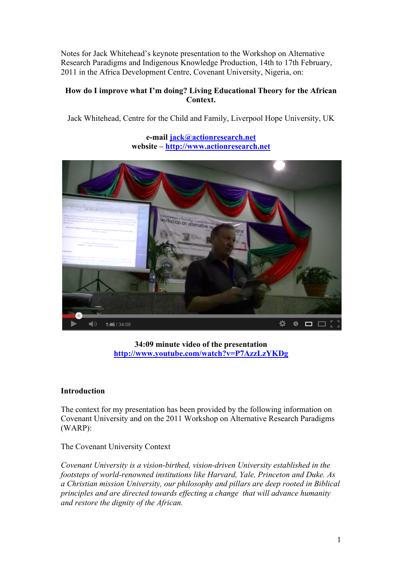Notes for Jack Whitehead's keynote presentation to the Workshop on Alternative Research Paradigms and Indigenous Knowledge Production, 14th to 17th February, 2011 in the Africa Development Centre, Covenant University, Nigeria, on:

# **How do I improve what I'm doing? Living Educational Theory for the African Context.**

Jack Whitehead, Centre for the Child and Family, Liverpool Hope University, UK

**e-mail jack@actionresearch.net website – http://www.actionresearch.net**



**34:09 minute video of the presentation http://www.youtube.com/watch?v=P7AzzLzYKDg**

# **Introduction**

The context for my presentation has been provided by the following information on Covenant University and on the 2011 Workshop on Alternative Research Paradigms (WARP):

The Covenant University Context

*Covenant University is a vision-birthed, vision-driven University established in the footsteps of world-renowned institutions like Harvard, Yale, Princeton and Duke. As a Christian mission University, our philosophy and pillars are deep rooted in Biblical principles and are directed towards effecting a change that will advance humanity and restore the dignity of the African.*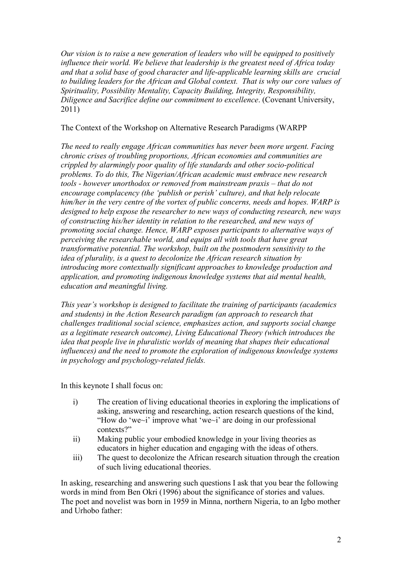*Our vision is to raise a new generation of leaders who will be equipped to positively influence their world. We believe that leadership is the greatest need of Africa today and that a solid base of good character and life-applicable learning skills are crucial to building leaders for the African and Global context. That is why our core values of Spirituality, Possibility Mentality, Capacity Building, Integrity, Responsibility, Diligence and Sacrifice define our commitment to excellence*. (Covenant University, 2011)

## The Context of the Workshop on Alternative Research Paradigms (WARPP

*The need to really engage African communities has never been more urgent. Facing chronic crises of troubling proportions, African economies and communities are crippled by alarmingly poor quality of life standards and other socio-political problems. To do this, The Nigerian/African academic must embrace new research tools - however unorthodox or removed from mainstream praxis – that do not encourage complacency (the 'publish or perish' culture), and that help relocate him/her in the very centre of the vortex of public concerns, needs and hopes. WARP is designed to help expose the researcher to new ways of conducting research, new ways of constructing his/her identity in relation to the researched, and new ways of promoting social change. Hence, WARP exposes participants to alternative ways of perceiving the researchable world, and equips all with tools that have great transformative potential. The workshop, built on the postmodern sensitivity to the idea of plurality, is a quest to decolonize the African research situation by introducing more contextually significant approaches to knowledge production and application, and promoting indigenous knowledge systems that aid mental health, education and meaningful living.*

*This year's workshop is designed to facilitate the training of participants (academics and students) in the Action Research paradigm (an approach to research that challenges traditional social science, emphasizes action, and supports social change as a legitimate research outcome), Living Educational Theory (which introduces the idea that people live in pluralistic worlds of meaning that shapes their educational influences) and the need to promote the exploration of indigenous knowledge systems in psychology and psychology-related fields.*

In this keynote I shall focus on:

- i) The creation of living educational theories in exploring the implications of asking, answering and researching, action research questions of the kind, "How do 'we~i' improve what 'we~i' are doing in our professional contexts?"
- ii) Making public your embodied knowledge in your living theories as educators in higher education and engaging with the ideas of others.
- iii) The quest to decolonize the African research situation through the creation of such living educational theories.

In asking, researching and answering such questions I ask that you bear the following words in mind from Ben Okri (1996) about the significance of stories and values. The poet and novelist was born in 1959 in Minna, northern Nigeria, to an Igbo mother and Urhobo father: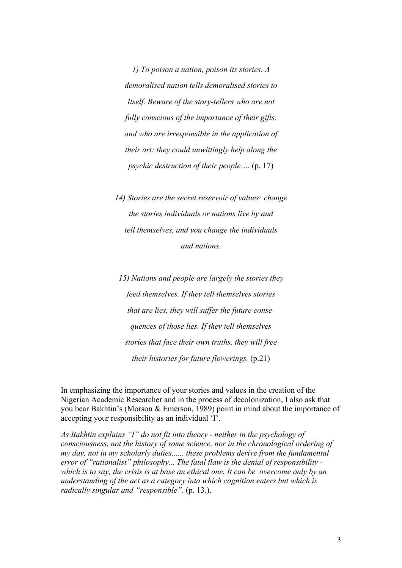*1) To poison a nation, poison its stories. A demoralised nation tells demoralised stories to Itself. Beware of the story-tellers who are not fully conscious of the importance of their gifts, and who are irresponsible in the application of their art: they could unwittingly help along the psychic destruction of their people….* (p. 17)

*14) Stories are the secret reservoir of values: change the stories individuals or nations live by and tell themselves, and you change the individuals and nations.*

*15) Nations and people are largely the stories they feed themselves. If they tell themselves stories that are lies, they will suffer the future consequences of those lies. If they tell themselves stories that face their own truths, they will free their histories for future flowerings.* (p.21)

In emphasizing the importance of your stories and values in the creation of the Nigerian Academic Researcher and in the process of decolonization, I also ask that you bear Bakhtin's (Morson & Emerson, 1989) point in mind about the importance of accepting your responsibility as an individual 'I'.

*As Bakhtin explains "I" do not fit into theory - neither in the psychology of consciousness, not the history of some science, nor in the chronological ordering of my day, not in my scholarly duties...... these problems derive from the fundamental error of "rationalist" philosophy... The fatal flaw is the denial of responsibility which is to say, the crisis is at base an ethical one. It can be overcome only by an understanding of the act as a category into which cognition enters but which is radically singular and "responsible".* (p. 13.).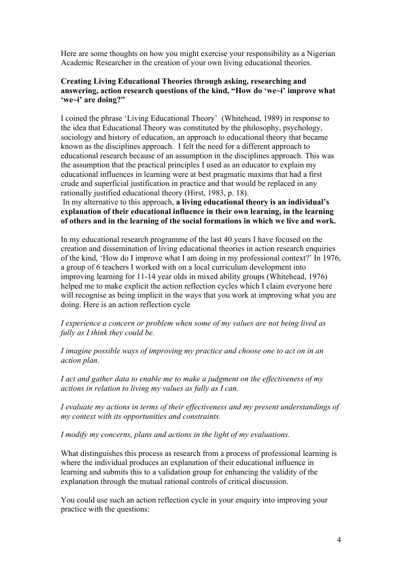Here are some thoughts on how you might exercise your responsibility as a Nigerian Academic Researcher in the creation of your own living educational theories.

## **Creating Living Educational Theories through asking, researching and answering, action research questions of the kind, "How do 'we~i' improve what 'we~i' are doing?"**

I coined the phrase 'Living Educational Theory' (Whitehead, 1989) in response to the idea that Educational Theory was constituted by the philosophy, psychology, sociology and history of education, an approach to educational theory that became known as the disciplines approach. I felt the need for a different approach to educational research because of an assumption in the disciplines approach. This was the assumption that the practical principles I used as an educator to explain my educational influences in learning were at best pragmatic maxims that had a first crude and superficial justification in practice and that would be replaced in any rationally justified educational theory (Hirst, 1983, p. 18).

#### In my alternative to this approach, **a living educational theory is an individual's explanation of their educational influence in their own learning, in the learning of others and in the learning of the social formations in which we live and work.**

In my educational research programme of the last 40 years I have focused on the creation and dissemination of living educational theories in action research enquiries of the kind, 'How do I improve what I am doing in my professional context?' In 1976, a group of 6 teachers I worked with on a local curriculum development into improving learning for 11-14 year olds in mixed ability groups (Whitehead, 1976) helped me to make explicit the action reflection cycles which I claim everyone here will recognise as being implicit in the ways that you work at improving what you are doing. Here is an action reflection cycle

*I experience a concern or problem when some of my values are not being lived as fully as I think they could be.*

*I imagine possible ways of improving my practice and choose one to act on in an action plan.*

*I act and gather data to enable me to make a judgment on the effectiveness of my actions in relation to living my values as fully as I can.*

*I evaluate my actions in terms of their effectiveness and my present understandings of my context with its opportunities and constraints.*

*I modify my concerns, plans and actions in the light of my evaluations.*

What distinguishes this process as research from a process of professional learning is where the individual produces an explanation of their educational influence in learning and submits this to a validation group for enhancing the validity of the explanation through the mutual rational controls of critical discussion.

You could use such an action reflection cycle in your enquiry into improving your practice with the questions: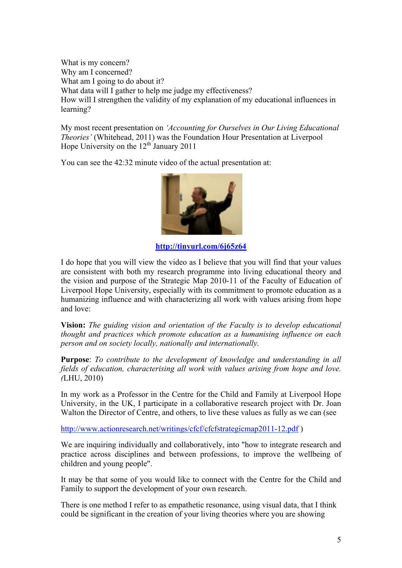What is my concern? Why am I concerned? What am I going to do about it? What data will I gather to help me judge my effectiveness? How will I strengthen the validity of my explanation of my educational influences in learning?

My most recent presentation on *'Accounting for Ourselves in Our Living Educational Theories'* (Whitehead, 2011) was the Foundation Hour Presentation at Liverpool Hope University on the  $12^{th}$  January 2011

You can see the 42:32 minute video of the actual presentation at:



**http://tinyurl.com/6j65z64**

I do hope that you will view the video as I believe that you will find that your values are consistent with both my research programme into living educational theory and the vision and purpose of the Strategic Map 2010-11 of the Faculty of Education of Liverpool Hope University, especially with its commitment to promote education as a humanizing influence and with characterizing all work with values arising from hope and love:

**Vision:** *The guiding vision and orientation of the Faculty is to develop educational thought and practices which promote education as a humanising influence on each person and on society locally, nationally and internationally.*

**Purpose**: *To contribute to the development of knowledge and understanding in all fields of education, characterising all work with values arising from hope and love. (*LHU, 2010)

In my work as a Professor in the Centre for the Child and Family at Liverpool Hope University, in the UK, I participate in a collaborative research project with Dr. Joan Walton the Director of Centre, and others, to live these values as fully as we can (see

http://www.actionresearch.net/writings/cfcf/cfcfstrategicmap2011-12.pdf)

We are inquiring individually and collaboratively, into "how to integrate research and practice across disciplines and between professions, to improve the wellbeing of children and young people".

It may be that some of you would like to connect with the Centre for the Child and Family to support the development of your own research.

There is one method I refer to as empathetic resonance, using visual data, that I think could be significant in the creation of your living theories where you are showing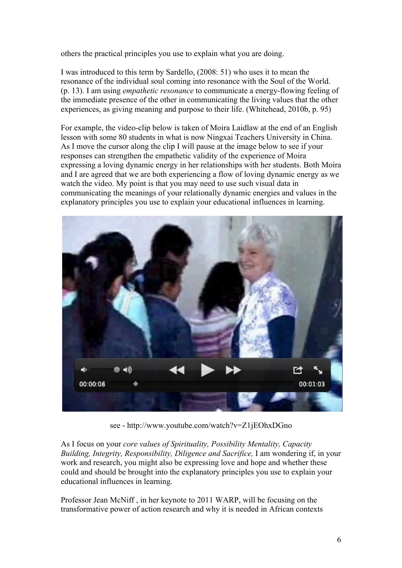others the practical principles you use to explain what you are doing.

I was introduced to this term by Sardello, (2008: 51) who uses it to mean the resonance of the individual soul coming into resonance with the Soul of the World. (p. 13). I am using *empathetic resonance* to communicate a energy-flowing feeling of the immediate presence of the other in communicating the living values that the other experiences, as giving meaning and purpose to their life. (Whitehead, 2010b, p. 95)

For example, the video-clip below is taken of Moira Laidlaw at the end of an English lesson with some 80 students in what is now Ningxai Teachers University in China. As I move the cursor along the clip I will pause at the image below to see if your responses can strengthen the empathetic validity of the experience of Moira expressing a loving dynamic energy in her relationships with her students. Both Moira and I are agreed that we are both experiencing a flow of loving dynamic energy as we watch the video. My point is that you may need to use such visual data in communicating the meanings of your relationally dynamic energies and values in the explanatory principles you use to explain your educational influences in learning.



see - http://www.youtube.com/watch?v=Z1jEOhxDGno

As I focus on your *core values of Spirituality, Possibility Mentality, Capacity Building, Integrity, Responsibility, Diligence and Sacrifice,* I am wondering if, in your work and research, you might also be expressing love and hope and whether these could and should be brought into the explanatory principles you use to explain your educational influences in learning.

Professor Jean McNiff , in her keynote to 2011 WARP, will be focusing on the transformative power of action research and why it is needed in African contexts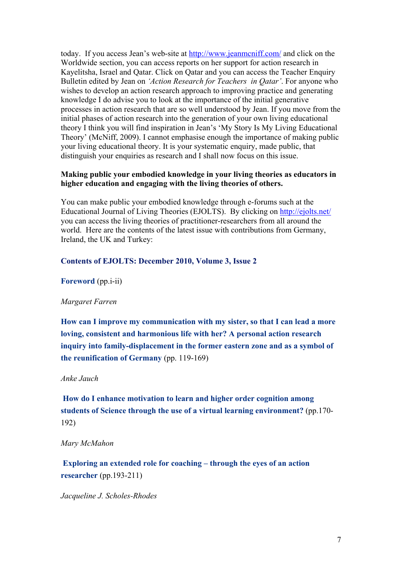today. If you access Jean's web-site at http://www.jeanmcniff.com/ and click on the Worldwide section, you can access reports on her support for action research in Kayelitsha, Israel and Qatar. Click on Qatar and you can access the Teacher Enquiry Bulletin edited by Jean on *'Action Research for Teachers in Qatar'*. For anyone who wishes to develop an action research approach to improving practice and generating knowledge I do advise you to look at the importance of the initial generative processes in action research that are so well understood by Jean. If you move from the initial phases of action research into the generation of your own living educational theory I think you will find inspiration in Jean's 'My Story Is My Living Educational Theory' (McNiff, 2009). I cannot emphasise enough the importance of making public your living educational theory. It is your systematic enquiry, made public, that distinguish your enquiries as research and I shall now focus on this issue.

## **Making public your embodied knowledge in your living theories as educators in higher education and engaging with the living theories of others.**

You can make public your embodied knowledge through e-forums such at the Educational Journal of Living Theories (EJOLTS). By clicking on http://ejolts.net/ you can access the living theories of practitioner-researchers from all around the world. Here are the contents of the latest issue with contributions from Germany, Ireland, the UK and Turkey:

## **Contents of EJOLTS: December 2010, Volume 3, Issue 2**

**Foreword** (pp.i-ii)

#### *Margaret Farren*

**How can I improve my communication with my sister, so that I can lead a more loving, consistent and harmonious life with her? A personal action research inquiry into family-displacement in the former eastern zone and as a symbol of the reunification of Germany** (pp. 119-169)

#### *Anke Jauch*

**How do I enhance motivation to learn and higher order cognition among students of Science through the use of a virtual learning environment?** (pp.170- 192)

#### *Mary McMahon*

**Exploring an extended role for coaching – through the eyes of an action researcher** (pp.193-211)

*Jacqueline J. Scholes-Rhodes*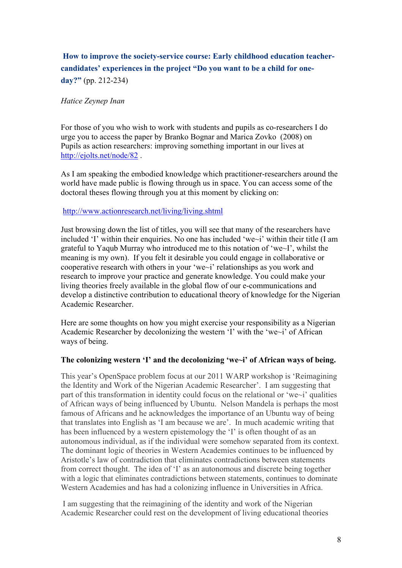# **How to improve the society-service course: Early childhood education teachercandidates' experiences in the project "Do you want to be a child for oneday?"** (pp. 212-234)

## *Hatice Zeynep Inan*

For those of you who wish to work with students and pupils as co-researchers I do urge you to access the paper by Branko Bognar and Marica Zovko (2008) on Pupils as action researchers: improving something important in our lives at http://ejolts.net/node/82 .

As I am speaking the embodied knowledge which practitioner-researchers around the world have made public is flowing through us in space. You can access some of the doctoral theses flowing through you at this moment by clicking on:

http://www.actionresearch.net/living/living.shtml

Just browsing down the list of titles, you will see that many of the researchers have included 'I' within their enquiries. No one has included 'we~i' within their title (I am grateful to Yaqub Murray who introduced me to this notation of 'we~I', whilst the meaning is my own). If you felt it desirable you could engage in collaborative or cooperative research with others in your 'we~i' relationships as you work and research to improve your practice and generate knowledge. You could make your living theories freely available in the global flow of our e-communications and develop a distinctive contribution to educational theory of knowledge for the Nigerian Academic Researcher.

Here are some thoughts on how you might exercise your responsibility as a Nigerian Academic Researcher by decolonizing the western 'I' with the 'we~i' of African ways of being.

#### **The colonizing western 'I' and the decolonizing 'we~i' of African ways of being.**

This year's OpenSpace problem focus at our 2011 WARP workshop is 'Reimagining the Identity and Work of the Nigerian Academic Researcher'. I am suggesting that part of this transformation in identity could focus on the relational or 'we~i' qualities of African ways of being influenced by Ubuntu. Nelson Mandela is perhaps the most famous of Africans and he acknowledges the importance of an Ubuntu way of being that translates into English as 'I am because we are'. In much academic writing that has been influenced by a western epistemology the 'I' is often thought of as an autonomous individual, as if the individual were somehow separated from its context. The dominant logic of theories in Western Academies continues to be influenced by Aristotle's law of contradiction that eliminates contradictions between statements from correct thought. The idea of 'I' as an autonomous and discrete being together with a logic that eliminates contradictions between statements, continues to dominate Western Academies and has had a colonizing influence in Universities in Africa.

 I am suggesting that the reimagining of the identity and work of the Nigerian Academic Researcher could rest on the development of living educational theories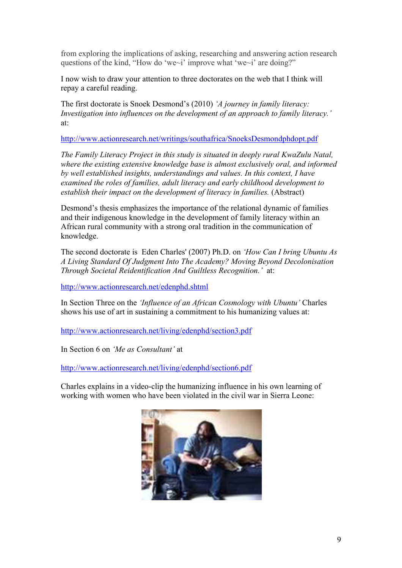from exploring the implications of asking, researching and answering action research questions of the kind, "How do 'we~i' improve what 'we~i' are doing?"

I now wish to draw your attention to three doctorates on the web that I think will repay a careful reading.

The first doctorate is Snoek Desmond's (2010) *'A journey in family literacy: Investigation into influences on the development of an approach to family literacy.'* at:

http://www.actionresearch.net/writings/southafrica/SnoeksDesmondphdopt.pdf

*The Family Literacy Project in this study is situated in deeply rural KwaZulu Natal, where the existing extensive knowledge base is almost exclusively oral, and informed by well established insights, understandings and values. In this context, I have examined the roles of families, adult literacy and early childhood development to establish their impact on the development of literacy in families.* (Abstract)

Desmond's thesis emphasizes the importance of the relational dynamic of families and their indigenous knowledge in the development of family literacy within an African rural community with a strong oral tradition in the communication of knowledge.

The second doctorate is Eden Charles' (2007) Ph.D. on *'How Can I bring Ubuntu As A Living Standard Of Judgment Into The Academy? Moving Beyond Decolonisation Through Societal Reidentification And Guiltless Recognition.'* at:

http://www.actionresearch.net/edenphd.shtml

In Section Three on the *'Influence of an African Cosmology with Ubuntu'* Charles shows his use of art in sustaining a commitment to his humanizing values at:

http://www.actionresearch.net/living/edenphd/section3.pdf

In Section 6 on *'Me as Consultant'* at

http://www.actionresearch.net/living/edenphd/section6.pdf

Charles explains in a video-clip the humanizing influence in his own learning of working with women who have been violated in the civil war in Sierra Leone:

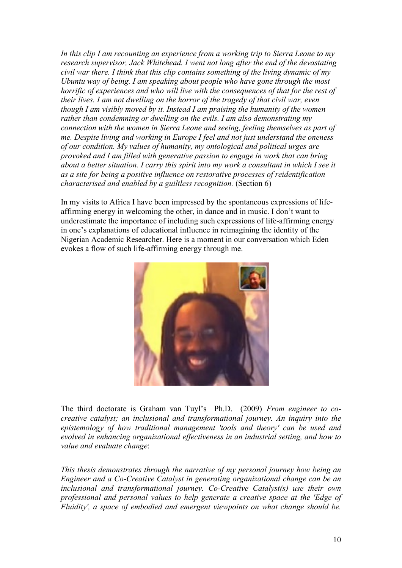*In this clip I am recounting an experience from a working trip to Sierra Leone to my research supervisor, Jack Whitehead. I went not long after the end of the devastating civil war there. I think that this clip contains something of the living dynamic of my Ubuntu way of being. I am speaking about people who have gone through the most horrific of experiences and who will live with the consequences of that for the rest of their lives. I am not dwelling on the horror of the tragedy of that civil war, even though I am visibly moved by it. Instead I am praising the humanity of the women rather than condemning or dwelling on the evils. I am also demonstrating my connection with the women in Sierra Leone and seeing, feeling themselves as part of me. Despite living and working in Europe I feel and not just understand the oneness of our condition. My values of humanity, my ontological and political urges are provoked and I am filled with generative passion to engage in work that can bring about a better situation. I carry this spirit into my work a consultant in which I see it as a site for being a positive influence on restorative processes of reidentification characterised and enabled by a guiltless recognition.* (Section 6)

In my visits to Africa I have been impressed by the spontaneous expressions of lifeaffirming energy in welcoming the other, in dance and in music. I don't want to underestimate the importance of including such expressions of life-affirming energy in one's explanations of educational influence in reimagining the identity of the Nigerian Academic Researcher. Here is a moment in our conversation which Eden evokes a flow of such life-affirming energy through me.



The third doctorate is Graham van Tuyl's Ph.D. (2009) *From engineer to cocreative catalyst; an inclusional and transformational journey. An inquiry into the epistemology of how traditional management 'tools and theory' can be used and evolved in enhancing organizational effectiveness in an industrial setting, and how to value and evaluate change*:

*This thesis demonstrates through the narrative of my personal journey how being an Engineer and a Co-Creative Catalyst in generating organizational change can be an inclusional and transformational journey. Co-Creative Catalyst(s) use their own professional and personal values to help generate a creative space at the 'Edge of Fluidity', a space of embodied and emergent viewpoints on what change should be.*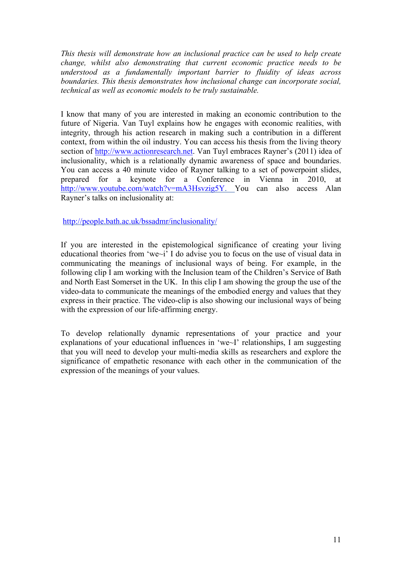*This thesis will demonstrate how an inclusional practice can be used to help create change, whilst also demonstrating that current economic practice needs to be understood as a fundamentally important barrier to fluidity of ideas across boundaries. This thesis demonstrates how inclusional change can incorporate social, technical as well as economic models to be truly sustainable.*

I know that many of you are interested in making an economic contribution to the future of Nigeria. Van Tuyl explains how he engages with economic realities, with integrity, through his action research in making such a contribution in a different context, from within the oil industry. You can access his thesis from the living theory section of http://www.actionresearch.net. Van Tuyl embraces Rayner's (2011) idea of inclusionality, which is a relationally dynamic awareness of space and boundaries. You can access a 40 minute video of Rayner talking to a set of powerpoint slides, prepared for a keynote for a Conference in Vienna in 2010, at http://www.youtube.com/watch?v=mA3Hsvzig5Y. You can also access Alan Rayner's talks on inclusionality at:

# http://people.bath.ac.uk/bssadmr/inclusionality/

If you are interested in the epistemological significance of creating your living educational theories from 'we~i' I do advise you to focus on the use of visual data in communicating the meanings of inclusional ways of being. For example, in the following clip I am working with the Inclusion team of the Children's Service of Bath and North East Somerset in the UK. In this clip I am showing the group the use of the video-data to communicate the meanings of the embodied energy and values that they express in their practice. The video-clip is also showing our inclusional ways of being with the expression of our life-affirming energy.

To develop relationally dynamic representations of your practice and your explanations of your educational influences in 'we~I' relationships, I am suggesting that you will need to develop your multi-media skills as researchers and explore the significance of empathetic resonance with each other in the communication of the expression of the meanings of your values.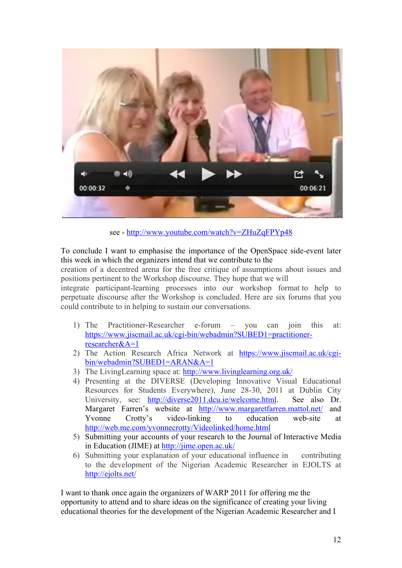

see - http://www.youtube.com/watch?v=ZHuZqFPYp48

To conclude I want to emphasise the importance of the OpenSpace side-event later this week in which the organizers intend that we contribute to the

creation of a decentred arena for the free critique of assumptions about issues and positions pertinent to the Workshop discourse. They hope that we will

integrate participant-learning processes into our workshop format to help to perpetuate discourse after the Workshop is concluded. Here are six forums that you could contribute to in helping to sustain our conversations.

- 1) The Practitioner-Researcher e-forum you can join this at: https://www.jiscmail.ac.uk/cgi-bin/webadmin?SUBED1=practitionerresearcher&A=1
- 2) The Action Research Africa Network at https://www.jiscmail.ac.uk/cgibin/webadmin?SUBED1=ARAN&A=1
- 3) The LivingLearning space at: http://www.livinglearning.org.uk/
- 4) Presenting at the DIVERSE (Developing Innovative Visual Educational Resources for Students Everywhere), June 28-30, 2011 at Dublin City University, see: http://diverse2011.dcu.ie/welcome.html. See also Dr. Margaret Farren's website at http://www.margaretfarren.mattol.net/ and Yvonne Crotty's video-linking to education web-site at http://web.me.com/yvonnecrotty/Videolinked/home.html
- 5) Submitting your accounts of your research to the Journal of Interactive Media in Education (JIME) at http://jime.open.ac.uk/
- 6) Submitting your explanation of your educational influence in contributing to the development of the Nigerian Academic Researcher in EJOLTS at http://ejolts.net/

I want to thank once again the organizers of WARP 2011 for offering me the opportunity to attend and to share ideas on the significance of creating your living educational theories for the development of the Nigerian Academic Researcher and I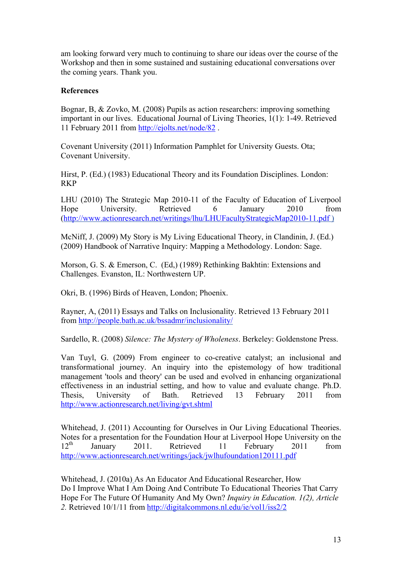am looking forward very much to continuing to share our ideas over the course of the Workshop and then in some sustained and sustaining educational conversations over the coming years. Thank you.

## **References**

Bognar, B, & Zovko, M. (2008) Pupils as action researchers: improving something important in our lives. Educational Journal of Living Theories, 1(1): 1-49. Retrieved 11 February 2011 from http://ejolts.net/node/82 .

Covenant University (2011) Information Pamphlet for University Guests. Ota; Covenant University.

Hirst, P. (Ed.) (1983) Educational Theory and its Foundation Disciplines. London: RKP

LHU (2010) The Strategic Map 2010-11 of the Faculty of Education of Liverpool Hope University. Retrieved 6 January 2010 from (http://www.actionresearch.net/writings/lhu/LHUFacultyStrategicMap2010-11.pdf )

McNiff, J. (2009) My Story is My Living Educational Theory, in Clandinin, J. (Ed.) (2009) Handbook of Narrative Inquiry: Mapping a Methodology. London: Sage.

Morson, G. S. & Emerson, C. (Ed,) (1989) Rethinking Bakhtin: Extensions and Challenges. Evanston, IL: Northwestern UP.

Okri, B. (1996) Birds of Heaven, London; Phoenix.

Rayner, A, (2011) Essays and Talks on Inclusionality. Retrieved 13 February 2011 from http://people.bath.ac.uk/bssadmr/inclusionality/

Sardello, R. (2008) *Silence: The Mystery of Wholeness*. Berkeley: Goldenstone Press.

Van Tuyl, G. (2009) From engineer to co-creative catalyst; an inclusional and transformational journey. An inquiry into the epistemology of how traditional management 'tools and theory' can be used and evolved in enhancing organizational effectiveness in an industrial setting, and how to value and evaluate change. Ph.D. Thesis, University of Bath. Retrieved 13 February 2011 from http://www.actionresearch.net/living/gvt.shtml

Whitehead, J. (2011) Accounting for Ourselves in Our Living Educational Theories. Notes for a presentation for the Foundation Hour at Liverpool Hope University on the  $12<sup>th</sup>$  January 2011 Retrieved 11 February 2011 from 12<sup>th</sup> January 2011. Retrieved 11 February 2011 from http://www.actionresearch.net/writings/jack/jwlhufoundation120111.pdf

Whitehead, J. (2010a) As An Educator And Educational Researcher, How Do I Improve What I Am Doing And Contribute To Educational Theories That Carry Hope For The Future Of Humanity And My Own? *Inquiry in Education. 1(2), Article 2.* Retrieved 10/1/11 from http://digitalcommons.nl.edu/ie/vol1/iss2/2